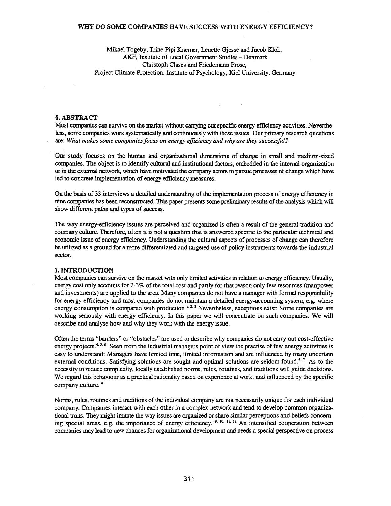#### WHY DO SOME COMPANIES HAVE SUCCESS WITH ENERGY EFFICIENCY?

Mikael Togeby, Trine Pipi Kræmer, Lenette Gjesse and Jacob Klok, AKF, Institute of Local Government Studies - Denmark Christoph Clases and Friedemann Prose, Project Climate Protection, Institute of Psychology, Kiel University, Germany

#### O.ABSTRACT

Most companies can survive on the market without carrying cut specific energy efficiency activities. Nevertheless, some companies work systematically and continuously with these issues. Our primary research questions are: *What makes some companiesfocus on energy efficiency and why are they successful?*

Our study focuses on the human and organizational dimensions of change in small and medium-sized companies. The object is to identify cultural and institutional factors, embedded in the internal organization orin the external network, which have motivated the company actors to pursue processes of change which have led to concrete implementation of energy efficiency measures.

On the basis of 33 interviews a detailed understanding of the implementation process of energy efficiency in nine companies has been reconstructed. This paper presents some preliminary results of the analysis which will show different paths and types of success.

The way energy-efficiency issues are perceived and organized is often a result of the general tradition and company culture. Therefore, often it is not a question that is answered specific to the particular technical and economic issue of energy efficiency. Understanding the cultural aspects of processes of change can therefore be utilized as a ground for a more differentiated and targeted use of policy instruments towards the industrial sector.

#### 1. INTRODUCTION

Most companies can survive on the market with only limited activities in relation to energy efficiency. Usually, energy cost only accounts for 2-3% of the total cost and partly for that reason only few resources (manpower and investments) are applied to the area. Many companies do not have a manager with formal responsibility for energy efficiency and most companies do not maintain a detailed energy-accounting system, e.g. where energy consumption is compared with production.<sup>1, 2, 3</sup> Nevertheless, exceptions exist: Some companies are working seriously with energy efficiency. In this paper we will concentrate on such companies. We will describe and analyse how and why they work with the energy issue.

Often the terms "barriers" or "obstacles" are used to describe why companies do not carry out cost-effective energy projects.<sup>4, 5, 6</sup> Seen from the industrial managers point of view the practise of few energy activities is easy to understand: Managers have limited time, limited information and are influenced by many uncertain external conditions. Satisfying solutions are sought and optimal solutions are seldom found.<sup>5, 7</sup> As to the necessity to reduce complexity, locally established norms, rules, routines, and traditions will guide decisions. We regard this behaviour as a practical rationality based on experience at work, and influenced by the specific company culture. <sup>8</sup>

Norms, rules, routines and traditions of the individual company are not necessarily unique for each individual company. Companies interact with each other in a complex network and tend to develop common organizational traits. They might imitate the way issues are organized or share similar perceptions and beliefs concerning special areas, e.g. the importance of energy efficiency.  $9, 10, 11, 12$  An intensified cooperation between companies may lead to new chances for organizational development and needs a special perspective on process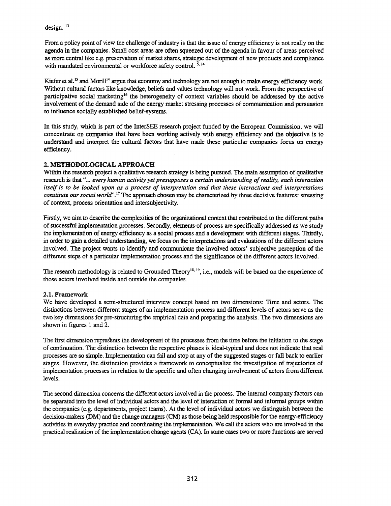design.<sup>13</sup>

From a policy point of view the challenge of industry is that the issue of energy efficiency is not really on the agenda in the companies. Small cost areas are often squeezed out of the agenda in favour of areas perceived as more central like e.g. preservation of market shares, strategic development of new products and compliance with mandated environmental or workforce safety control.<sup>5, 14</sup>

Kiefer et al.<sup>15</sup> and Morill<sup>14</sup> argue that economy and technology are not enough to make energy efficiency work. Without cultural factors like knowledge, beliefs and values technology will not work. From the perspective of participative social marketing<sup>16</sup> the heterogeneity of context variables should be addressed by the active involvement of the demand side of the energy market stressing processes of communication and persuasion to influence socially established belief-systems.

In this study, which is part of the InterSEE research project funded by the European Commission, we will concentrate on companies that have been working actively with energy efficiency and the objective is to understand and interpret the cultural factors that have made these particular companies focus on energy efficiency.

# 2. METHODOLOGICAL APPROACH

Within the research project a qualitative research strategy is being pursued. The main assumption of qualitative research is that "... *every human activity yet presupposes a certain understanding ofreality, each interaction* itself is to be looked upon as a process of interpretation and that these interactions and interpretations *constitute oursocial world".* <sup>17</sup> The approach chosen may be characterized by three decisive features: stressing of context, process orientation and intersubjectivity.

Firstly, we aim to describe the complexities of the organizational context that contributed to the different paths of successful implementation processes. Secondly, elements of process are specifically addressed as we study the implementation of energy efficiency as a social process and a development with different stages. Thirdly, in order to gain a detailed understanding, we focus on the interpretations and evaluations of the different actors involved. The project wants to identify and communicate the involved actors' subjective perception of the different steps of a particular implementation process and the significance of the different actors involved.

The research methodology is related to Grounded Theory<sup>18, 19</sup>, i.e., models will be based on the experience of those actors involved inside and outside the companies.

# 2.1. Framework

We have developed a semi-structured interview concept based on two dimensions: Time and actors. The distinctions between different stages of an implementation process and different levels of actors serve as the two key dimensions for pre-structuring the empirical data and preparing the analysis. The two dimensions are shown in figures 1 and 2.

The first dimension represents the development of the processes from the time before the initiation to the stage of continuation. The distinction between the respective phases is ideal-typical and does not indicate that real processes are so simple. Implementation can fail and stop at any of the suggested stages or fall back to earlier stages. However, the distinction provides a framework to conceptualize the investigation of trajectories of implementation processes in relation to the specific and often changing involvement of actors from different levels.

The second dimension concerns the different actors involved in the process. The internal company factors can be separated into the level of individual actors and the level of interaction of formal and informal groups within the companies (e.g. departments, project teams). At the level of individual actors we distinguish between the decision-makers (DM) and the change managers (CM) as those being held responsible for the energy-efficiency activities in everyday practice and coordinating the implementation. We call the actors who are involved in the practical realization ofthe implementation change agents (CA). In some cases two or more functions are served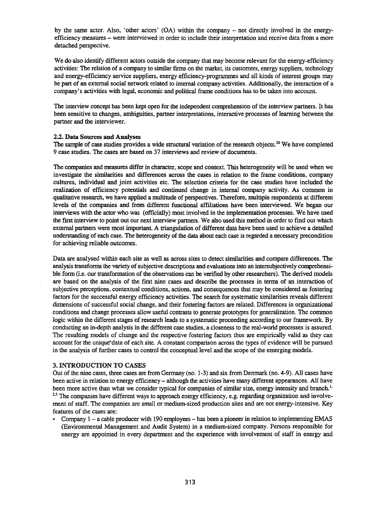by the same actor. Also, 'other actors' (OA) within the company - not directly involved in the energyefficiency measures - were interviewed in order to include their interpretation and receive data from a more detached perspective.

We do also identify different actors outside the company that may become relevant for the energy-efficiency activities: The relation of a company to similar firms on the market, its customers, energy suppliers, technology and energy-efficiency service suppliers, energy efficiency-programmes and all kinds of interest groups may be part of an external social network related to internal company activities. Additionally, the interaction of a company's activities with legal, economic and political frame conditions has to be taken into account.

The interview concept has been kept open for the independent comprehension of the interview partners. It has been sensitive to changes, ambiguities, partner interpretations, interactive processes of learning between the partner and the interviewer.

#### 2.2. Data Sources and Analyses

The sample of case studies provides a wide structural variation of the research objects.<sup>20</sup> We have completed 9 case studies. The cases are based on 37 interviews and review of documents.

The companies and measures differ in character, scope and context. This heterogeneity will be used when we investigate the similarities and differences across the cases in relation to the frame conditions, company cultures, individual and joint activities etc. The selection criteria for the case studies have included the realization of efficiency potentials and continued change in internal company activity. As common in qualitative research, we have applied a multitude of perspectives. Therefore, multiple respondents at different levels of the companies and from different functional affiliations have been interviewed. We began our interviews with the actor who was (officially) most involved in the implementation processes. We have used the frrst interview to point out our next interview partners. We also used this method in order to find out which external partners were most important. A triangulation of different data have been used to achieve a detailed understanding of each case. The heterogeneity of the data about each case is regarded a necessary precondition for achieving reliable outcomes.

Data are analysed within each site as well as across sites to detect similarities and compare differences. The analysis transforms the variety of subjective descriptions and evaluations into an intersubjectively comprehensible form (i.e. our transformation of the observations can be verified by other researchers). The derived models are based on the analysis of the first nine cases and describe the processes in terms of an interaction of subjective perceptions, contextual conditions, actions, and consequences that may be considered as fostering factors for the successful energy efficiency activities. The search for systematic similarities reveals different dimensions of successful social change, and their fostering factors are related. Differences in organizational conditions and change processes allow useful contrasts to generate prototypes for generalization. The common logic within the different stages of research leads to a systematic proceeding according to our framework. By conducting an in-depth analysis in the different case studies, a closeness to the real-world processes is assured. The resulting models of change and the respective fostering factors thus are empirically valid as they can account for the unique data of each site. A constant comparison across the types of evidence will be pursued in the analysis of further cases to control the conceptual level and the scope of the emerging models.

### 3. INTRODUCTION TO CASES

Out of the nine cases, three cases are from Germany (no. 1-3) and six from Denmark (no. 4-9). All cases have been active in relation to energy efficiency – although the activities have many different appearances. All have been more active than what we consider typical for companies of similar size, energy intensity and branch.<sup>1</sup>. <sup>2.3</sup> The companies have different ways to approach energy efficiency, e.g. regarding organization and involvement of staff. The companies are small or medium-sized production sites and are not energy-intensive. Key features of the cases are:

<sup>e</sup> Company 1 - a cable producer with 190 employees - has been a pioneer in relation to implementing EMAS (Environmental Management and Audit System) in a medium-sized company. Persons responsible for energy are appointed in every department and the experience with involvement of staff in energy and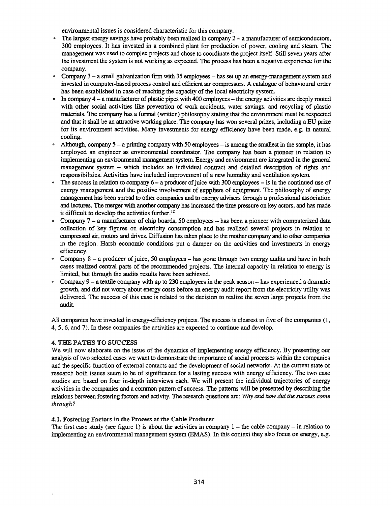environmental issues is considered characteristic for this company.

- The largest energy savings have probably been realized in company  $2 a$  manufacturer of semiconductors, 300 employees. It has invested in a combined plant for production of power, cooling and steam. The management was used to complex projects and chose to coordinate the project itself. Still seven years after the investment the system is not working as expected. The process has been a negative experience for the company.
- Company  $3 a$  small galvanization firm with 35 employees  $-$  has set up an energy-management system and invested in computer-based process control and efficient air compressors. A catalogue of behavioural order has been established in case of reaching the capacity of the local electricity system.
- In company  $4 a$  manufacturer of plastic pipes with 400 employees  $-$  the energy activities are deeply rooted with other social activities like prevention of work accidents, water savings, and recycling of plastic materials. The company has a formal (written) philosophy stating that the environment must be respected and that it shall be an attractive working place. The company has won several prizes, including a ED prize for its environment activities. Many investments for energy efficiency have been made, e.g. in natural cooling.
- Although, company  $5 a$  printing company with 50 employees  $-$  is among the smallest in the sample, it has employed an engineer as environmental coordinator. The company has been a pioneer in relation to implementing an environmental management system. Energy and environment are integrated in the general management system - which includes an individual contract and detailed description of rights and responsibilities. Activities have included improvement of a new humidity and ventilation system.
- The success in relation to company  $6 a$  producer of juice with 300 employees  $-$  is in the continued use of energy management and the positive involvement of suppliers of equipment. The philosophy of energy management has been spread to other companies and to energy advisers through a professional association and lectures. The merger with another company has increased the time pressure on key actors, and has made it difficult to develop the activities further.<sup>12</sup>
- .. Company 7 a manufacturer of chip boards, 50 employees has been a pioneer with computerized data collection of key fIgures on electricity consumption and has realized several projects in relation to compressed air, motors and drives. Diffusion has taken place to the mother company and to other companies in the region. Harsh economic conditions put a damper on the activities and investments in energy efficiency.
- Company 8 a producer of juice, 50 employees has gone through two energy audits and have in both cases realized central parts of the recommended projects. The internal capacity in relation to energy is limited, but through the audits results have been achieved.
- Company  $9 a$  textile company with up to 230 employees in the peak season  $-$  has experienced a dramatic growth, and did not worry about energy costs before an energy audit report from the electricity utility was delivered. The success of this case is related to the decision to realize the seven large projects from the audit.

All companies have invested in energy-efficiency projects. The success is clearest in five of the companies (1, 4, 5, 6, and 7). In these companies the activities are expected to continue and develop.

# 4. THE PATHS TO SUCCESS

We will now elaborate on the issue of the dynamics of implementing energy efficiency. By presenting our analysis of two selected cases we want to demonstrate the importance of social processes within the companies and the specific function of external contacts and the development of social networks. At the current state of research both issues seem to be of significance for a lasting success with energy efficiency. The two case studies are based on four in-depth interviews each. We will present the individual trajectories of energy activities in the companies and a common pattern of success. The patterns will be presented by describing the relations between fostering factors and activity. The research questions are: *Why and how did the success come through?*

# 4.1. Fostering Factors in the Process at the Cable Producer

The first case study (see figure 1) is about the activities in company  $1 -$  the cable company  $-$  in relation to implementing an environmental management system (EMAS). In this context they also focus on energy, e.g.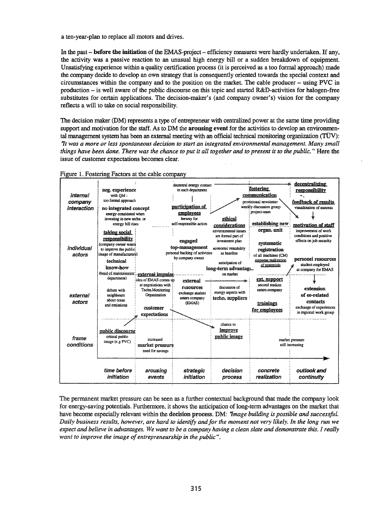a ten-year-plan to replace all motors and drives.

In the past - before the initiation of the EMAS-project - efficiency measures were hardly undertaken. If any, the activity was a passive reaction to an unusual high energy bill or a sudden breakdown of equipment. Unsatisfying experience within a quality certification process (it is perceived as a too formal approach) made the company decide to develop an own strategy that is consequently oriented towards the special context and circumstances within the company and to the position on the market. The cable producer - using PVC in production - is well aware of the public discourse on this topic and started R&D-activities for halogen-free substitutes for certain applications. The decision-maker's (and company owner's) vision for the company reflects a will to take on social responsibility.

The decision maker (DM) represents a type of entrepreneur with centralized power at the same time providing support and motivation for the staff. As to DM the **arousing event** for the activities to develop an environmental management systemhas been an external meeting with an official technical monitoring organization (TOv): *'1t was a more or less spontaneous decision to start an integrated environmental management. Many small* things have been done. There was the chance to put it all together and to present it to the public." Here the issue of customer expectations becomes clear.



Figure 1. Fostering Factors at the cable company

The permanent market pressure can be seen as a further contextual background that made the company look for energy-saving potentials. Furthermore, it shows the anticipation of long-term advantages on the market that have become especially relevant within the decision process. DM: *'1mage building is possible and successful.* Daily business results, however, are hard to identify and for the moment not very likely. In the long run we expect and believe in advantages. We want to be a company having a clean slate and demonstrate this. I really *want to improve the image ofentrepreneurship in the public".*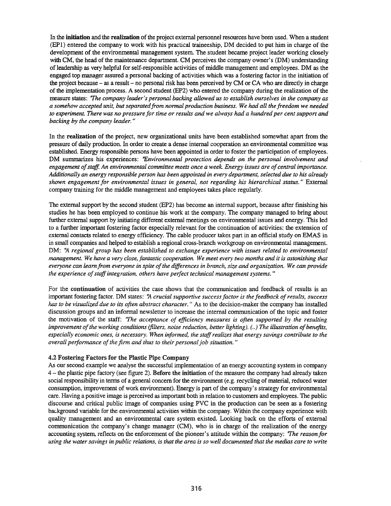In the **initiation** and the **realization** of the project external personnel resources have been used. When a student (EPl) entered the company to work with his practical traineeship, DM decided to put him in charge of the development of the environmental management system. The student became project leader working closely with CM, the head of the maintenance department. CM perceives the company owner's (DM) understanding of leadership as very helpful for self-responsible activities of middle management and employees. DM as the engaged top manager assured a personal backing of activities which was a fostering factor in the initiation of the project because - as a result - no personal risk has been perceived by CM or CA who are directly in charge ofthe implementation process. A second student (EP2) who entered the company during the realization of the measure states: *'The company leader's personal backing allowed us to establish ourselves in the company as a somehow accepted unit, butseparatedfrom normal production business. We had all the freedom we needed* to experiment. There was no pressure for time or results and we always had a hundred per cent support and *backing by the company leader. "*

In the realization of the project, new organizational units have been established somewhat apart from the pressure of daily production. In order to create a dense internal cooperation an environmental committee was established. Energy responsible persons have been appointed in order to foster the participation of employees. DM summarizes his experiences: *"Environmental protection depends on the personal involvement and engagement ofstaff. An environmental committee meets once a week. Energy issues are ofcentral importance. Additionally an energy responsible person has been appointed in every department, selected due to his already shown engagement for environmental issues in general, not regarding his hierarchical status.* " External company training for the middle management and employees takes place regularly.

The external support by the second student (EP2) has become an internal support, because after finishing his studies he has been employed to continue his work at the company. The company managed to bring about further external support by initiating different external meetings on environmental issues and energy. This led to a further important fostering factor especially relevant for the continuation of activities: the extension of external contacts related to energy efficiency. The cable producer takes part in an official study on EMAS in in small companies and helped to establish a regional cross-branch workgroup on environmental management. DM: '14 *regional group has been established to exchange experience with issues related to environmental* management. We have a very close, fantastic cooperation. We meet every two months and it is astonishing that *everyone can leamfrom everyone in spite ofthe differences in branch, size and organization. We can provide the experience ofstaffintegration, others have perfect technical management systems. "*

For the continuation of activities the case shows that the communication and feedback of results is an important fostering factor. DM states: 'j\ *crucial supportive successfactor is the feedback ofresults, success has to be visualized due to its often abstract character.* " As to the decision-maker the company has installed discussion groups and an informal newsletter to increase the internal communication of the topic and foster the motivation of the staff: *'The acceptance of efficiency measures is often supported by the resulting improvement ofthe working conditions (filters, noise reduction, better lighting).* (..) *The illustration ofbenefits, especially economic ones, is necessary. When informed, the staffrealizes that energy savings contribute to the overall performance of the firm and thus to their personal job situation.* "

#### 4.2 Fostering Factors for the Plastic Pipe Company

As our second example we analyse the successful implementation of an energy accounting system in company 4 - the plastic pipe factory (see figure 2). Before the initiation of the measure the company had already taken social responsibility in terms of a general concern for the environment (e.g. recycling of material, reduced water consumption, improvement of work environment). Energy is part of the company's strategy for environmental care. Having a positive image is perceived as important both in relation to customers and employees. The public discourse and critical public image of companies using PVC in the production can be seen as a fostering background variable for the environmental activities within the company. Within the company experience with quality management and an environmental care system existed. Looking back on the efforts of external communication the company's change manager (CM), who is in charge of the realization of the energy accounting system, reflects on the enforcement of the pioneer's attitude within the company: *'The reason for* using the water savings in public relations, is that the area is so well documented that the medias care to write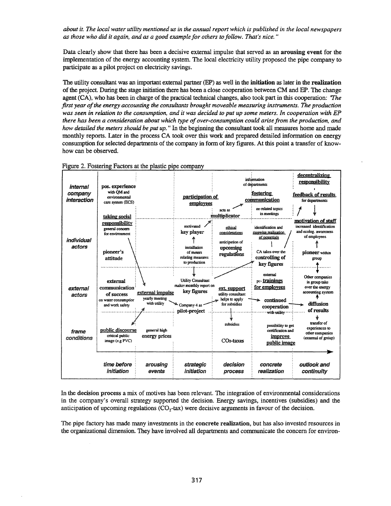about it. The local water utility mentioned us in the annual report which is published in the local newspapers *as those who did it again, and* as *a good example for others to follow. That's nice. "*

Data clearly show that there has been a decisive external impulse that served as an arousing event for the implementation of the energy accounting system The local electricity utility proposed the pipe company to participate as a pilot project on electricity savings.

The utility consultant was an important external partner (EP) as well in the initiation as later in the realization ofthe project During the stage initiation there has been a close cooperation between CM and EP. The change agent (CA), who has been in charge of the practical technical changes, also took part in this cooperation: *'The first year ofthe energy accounting the consultants brought moveable measuring instruments. The production* was seen in relation to the consumption, and it was decided to put up some meters. In cooperation with EP *there* has *been a consideration about which type ofover-consumption could arise from the production, and how detailed the meters should be put up.* " In the beginning the consultant took all measures home and made monthly reports. Later in the process CA took over this work and prepared detailed information on energy consumption for selected departments of the company in form of key figures. At this point a transfer of knowhow can be observed.



Figure 2. Fostering Factors at the plastic pipe company

In the decision process a mix of motives has been relevant. The integration of environmental considerations in the company's overall strategy supported the decision. Energy savings, incentives (subsidies) and the anticipation of upcoming regulations  $(CO<sub>2</sub>-tax)$  were decisive arguments in favour of the decision.

The pipe factory has made many investments in the concrete realization, but has also invested resources in the organizational dimension. They have involved all departments and communicate the concern for environ-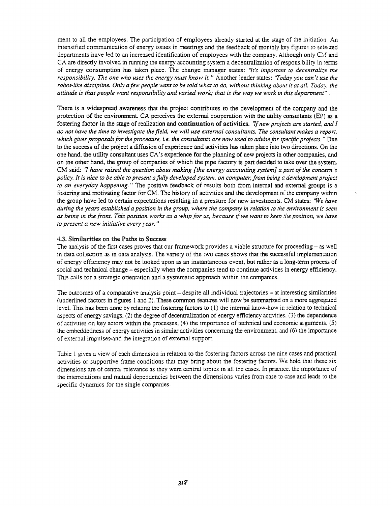ment to all the employees. The participation of employees already started at the stage of the initiation An intensified communication of energy issues in meetings and the feedback of monthly key figures to selected departments have led to an increased identification of employees with the company. Although only CM and CA are directly involved in running the energy accounting system a decentralization of responsibility in terms of energy consumption has taken place. The change manager states: 'It's *important* to *decentralize* the *responsibiliry. The one who uses the energy must know it.* " Another leader states: *'Today you can't use the* robot-like discipline. Only a few people want to be told what to do, without thinking about it at all. Today, the attitude is that people want responsibility and varied work; that is the way we work in this department".

There is a widespread awareness that the project contributes to the development of the company and the protection of the environment. CA perceives the external cooperation with the utility consultants (EP) as a fostering factor in the stage of realization and continuation of activities. *'1f new projects are started, and I* do not have the time to investigate the field, we will use external consultants. The consultant makes a report, *which gives proposalsfor the procedure. i.e. the consultants are now Llsed to advise for specific projects.* "Due to the success of the project a diffusion of experience and activities has taken place into two directions. On the one hand. the utility consultant uses CA's experience for the planning of new projects in other companies, and on the other hand. the group of companies of which the pipe factory is part decided to take over the system. CM said: '1 *have raised the question about making [the energy accounting system] a part ofthe concern's* policy. It is nice to be able to present a fully developed system, on computer, from being a development project *to an everyday happening.* " The positive feedback of results both from internal and external groups is a fostering and motivating factor for CM. The history of activities and the development of the company within the group have led to certain expectations resulting in a pressure for new investments. eM states: *'We have* during the years established a position in the group, where the company in relation to the environment is seen as being in the front. This position works as a whip for us, because if we want to keep the position, we have *to present a new initiative every year. "*

#### 4.3. Similarities on the Paths to Success

The analysis of the first cases proves that our framework provides a viable structure for proceeding – as well in data collection as in data analysis. The variety of the two cases shows that the successful implementation of energy efficiency may not be looked upon as an instantaneous event, but rather as a long-term process of social and technical change - especially when the companies tend to continue activities in energy efficiency. This calls for a strategic orientation and a systematic approach within the companies.

The outcomes of a comparative analysis point – despite all individual trajectories – at interesting similarities (underlined factors in fIgures 1 and 2). These common features will now be summarized on a more aggregated level. This has been done by relating the fostering factors to (1) the internal know-how in relation to technical aspects of energy savings, (2) the degree of decentralization of energy efficiency activities. (3) the dependence of activities on key actors within the processes, (4) the importance of technical and economic arguments, (5) the embeddedness of energy activities in similar activities concerning the environment. and (6) the importance of external impulses-and the integrauon of external support.

Table 1 gives a view of each dimension :n relation to the fostering factors across the nine cases and practical activities or supportive frame conditions that may bring about the fostering factors. We hold that these six dimensions are of central relevance as they were central topics in all the cases. In practice. the importance of the interrelations and mutual dependencies between the dimensions varies from case to case and leads to the specific dynamics for the single companies.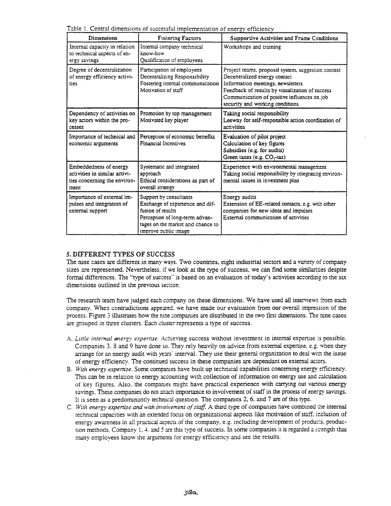Table 1. Central dimensions of successful implementation of energy efficiency

| Dimensions                                                                                      | <b>Fostering Factors</b>                                                                                                                                                      | <b>Supportive Activities and Frame Conditions</b>                                                                                                                                                                                                            |
|-------------------------------------------------------------------------------------------------|-------------------------------------------------------------------------------------------------------------------------------------------------------------------------------|--------------------------------------------------------------------------------------------------------------------------------------------------------------------------------------------------------------------------------------------------------------|
| Internal capacity in relation<br>to technical aspects of en-<br>ergy savings                    | Internal company technical<br>know-how<br>Qualification of employees                                                                                                          | Workshops and training                                                                                                                                                                                                                                       |
| Degree of decentralization<br>of energy efficiency activi-<br>ties                              | Participation of employees<br>Decentralizing Responsibility<br>Fostering internal communication<br>Motivation of staff                                                        | Project teams, proposal system, suggestion contest<br>Decentralized energy contact<br>Information meetings, newsletters<br>Feedback of results by visualization of success<br>Communication of positive influences on job<br>security and working conditions |
| Dependency of activities on<br>key actors within the pro-<br>cesses                             | Promotion by top management<br>Motivated key player                                                                                                                           | Taking social responsibility<br>Leeway for self-responsible action coordination of<br>activities                                                                                                                                                             |
| Importance of technical and<br>economic arguments                                               | Perception of economic benefits<br>Financial Incentives                                                                                                                       | Evaluation of pilot project<br>Calculation of key figures<br>Subsidies (e.g. for audits)<br>Green taxes (e.g. CO <sub>2</sub> -tax)                                                                                                                          |
| Embeddedness of energy<br>activities in similar activi-<br>ties concerning the environ-<br>ment | Systematic and integrated<br>approach<br>Ethical considerations as part of<br>overall strategy                                                                                | Experience with environmental management<br>Taking social responsibility by integrating environ-<br>mental issues in investment plan                                                                                                                         |
| Importance of external im-<br>pulses and integration of<br>external support                     | Support by consultants<br>Exchange of experience and dif-<br>fusion of results<br>Perception of long-term advan-<br>tages on the market and chance to<br>improve public image | Energy audits<br>Extension of EE-related contacts, e.g. with other<br>companies for new ideas and impulses<br>External communication of activities                                                                                                           |

# 5. DIFFERENT TYPES OF SUCCESS

The nine cases are different in many ways. Two countries. eight industrial sectors and a variety of company sizes are represented. Nevertheless, if we look at the type of success, we can find some similarities despite formal differences. The "type of success" is based on an evaluation of today's activities according to the six dimensions outlined in the previous section.

The research team have judged each company on these dimensions. We have used all interviews from each company. When contradictions appeared. we have made our evaluation from our overall impression of the process. Figure 3 illustrates how the nine companies are distributed in the twO tirst dimensions. The nine cases are grouped in three clusters. Each cluster represents a type of success.

- A. Little internal energy expertise. Achieving success without investment in internal expertise is possible. Companies 3. 8 and 9 have done so. They rely heavily on advice from external expertise. e.g. when they arrange for an energy audit with years' interval. They use their general organization to deal with the issue of energy efficiency. The continued success in these companies are dependant on external actors.
- B. *With energy expertise.* Some companies have built up technical capabilities concerning energy efficiency. This can be in relation to energy accounting with collection of information on energy use and calculation of key figures. Also, the companies might have practical experience with carrying out various energy savings. These companies do not attach importance to involvement of staff in the process of energy savings. It is seen as a predominantly technical question. The companies 2. 6. and 7 are of this rype.
- C. *Wirh energy expenise and with involvement ofstaff.* A third type of companies have combined L.'1e internal technical capacities with an extended focus on organizational aspects like motivation of staff. inclusion of energy awareness in all practical aspects of the company, e.g. including development of products. production methods. Company  $1, 4$  and 5 are this type of success. In some companies it is regarded a strength that many employees know the arguments for energy efficiency and see the results.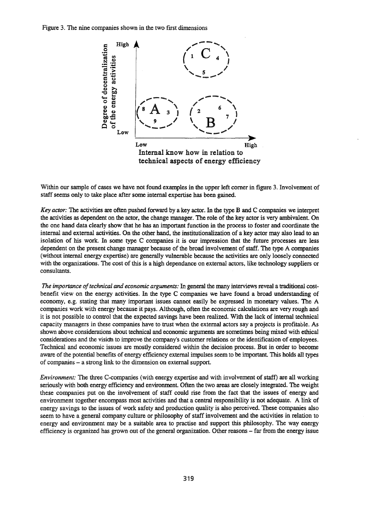Figure 3. The nine companies shown in the two first dimensions



Within our sample of cases we have not found examples in the upper left corner in figure 3. Involvement of staff seems only to take place after some internal expertise has been gained.

*Key actor:* The activities are often pushed forward by a key actor. In the type B and C companies we interpret the activities as dependent on the actor, the change manager. The role of the key actor is very ambivalent. On the one hand data clearly show that he has an important function in the process to foster and coordinate the internal and external activities. On the other hand, the institutionalization of a key actor may also lead to an isolation of his work. In some type C companies it is our impression that the future processes are less dependent on the present change manager because of the broad involvement of staff. The type A companies (without internal energy expertise) are generally vulnerable because the activities are only loosely connected with the organizations. The cost of this is a high dependance on external actors, like technology suppliers or consultants.

*The importance* of *technical and economic arguments*: In general the many interviews reveal a traditional costbenefit view on the energy activities. In the type C companies we have found a broad understanding of economy, e.g. stating that many important issues cannot easily be expressed in monetary values. The A companies work with energy because it pays. Although, often the economic calculations are very rough and it is not possible to control that the expected savings have been realized. With the lack of internal technical capacity managers in these companies have to trust when the external actors say a projects is profitable. As shown above considerations about technical and economic arguments are sometimes being mixed with ethical considerations and the vision to improve the company's customer relations or the identification of employees. Technical and economic issues are mostly considered within the decision process. But in order to become aware of the potential benefits of energy efficiency external impulses seem to be important. This holds all types of companies - a strong link to the dimension on external support.

*Environment:* The three C-companies (with energy expertise and with involvement of staff) are all working seriously with both energy efficiency and environment Often the two areas are closely integrated. The weight these companies put on the involvement of staff could rise from the fact that the issues of energy and environment together encompass most activities and that a central responsibility is not adequate. A link of energy savings to the issues of work safety and production quality is also perceived. These companies also seem to have a general company culture or philosophy of staff involvement and the activities in relation to energy and environment may be a suitable area to practise and support this philosophy. The way energy efficiency is organized has grown out of the general organization. Other reasons - far from the energy issue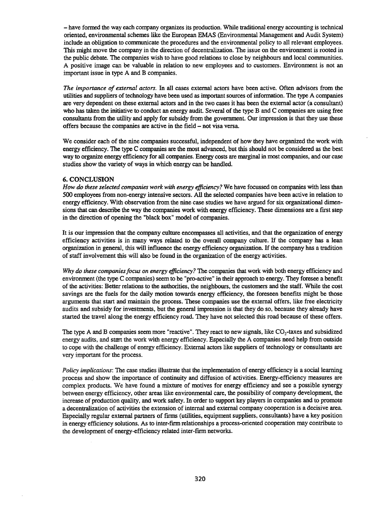- have formed the way each company organizes its production. While traditional energy accounting is technical oriented, environmental schemes like the European EMAS (Environmental Management and Audit System) include an obligation to communicate the procedures and the environmental policy to all relevant employees. This might move the company in the direction of decentralization. The issue on the environment is rooted in the public debate. The companies wish to have good relations to close by neighbours and local communities. A positive image can be valuable in relation to new employees and to customers. Environment is not an important issue in type A and B companies.

*The importance of external actors.* In all cases external actors have been active. Often advisors from the utilities and suppliers of technology have been used as important sources of information. The type A companies are very dependent on these external actors and in the two cases it has been the external actor (a consultant) who has taken the initiative to conduct an energy audit. Several of the type B and C companies are using free consultants from the utility and apply for subsidy from the government. Our impression is that they use these offers because the companies are active in the field - not visa versa.

We consider each of the nine companies successful, independent of how they have organized the work with energy efficiency. The type C companies are the most advanced, but this should not be considered as the best way to organize energy efficiency for all companies. Energy costs are marginal in most companies, and our case studies show the variety of ways in which energy can be handled.

### 6. CONCLUSION

*How* do *these selected companies work with energy efficiency?* We have focussed on companies with less than 500 employees from non-energy intensive sectors. All the selected companies have been active in relation to energy efficiency. With observation from the nine case studies we have argued for six organizational dimensions that can describe the way the companies work with energy efficiency. These dimensions are a first step in the direction of opening the "black box" model of companies.

It is our impression that the company culture encompasses all activities, and that the organization of energy efficiency activities is in many ways related to the overall company culture. If the company has a lean organization in general, this will influence the energy efficiency organization. Ifthe company has a tradition of staff involvement this will also be found in the organization of the energy activities.

*Why* do *these companiesfocus on energy efficiency?* The companies that work with both energy efficiency and environment (the type C companies) seem to be "pro-active" in their approach to energy. They foresee a benefit of the activities: Better relations to the authorities, the neighbours, the customers and the staff. While the cost savings are the fuels for the daily motion towards energy efficiency, the foreseen benefits might be those arguments that start and maintain the process. These companies use the external offers, like free electricity audits and subsidy for investments, but the general impression is that they do so, because they already have started the travel along the energy efficiency road. They have not selected this road because of these offers.

The type A and B companies seem more "reactive". They react to new signals, like  $CO<sub>2</sub>$ -taxes and subsidized energy audits, and start the work with energy efficiency. Especially the A companies need help from outside to cope with the challenge of energy efficiency. External actors like suppliers of technology or consultants are very important for the process.

*Policy implications:* The case studies illustrate that the implementation of energy efficiency is a social learning process and show the importance of continuity and diffusion of activities. Energy-efficiency measures are complex products. We have found a mixture of motives for energy efficiency and see a possible synergy between energy efficiency, other areas like environmental care, the possibility of company development, the increase of production quality, and work safety. In order to support key players in companies and to promote a decentralization of activities the extension of internal and external company cooperation is a decisive area Especially regular external partners of firms (utilities, equipment suppliers, consultants) have a key position in energy efficiency solutions. As to inter-fum relationships a process-oriented cooperation may contribute to the development of energy-efficiency related inter-firm networks.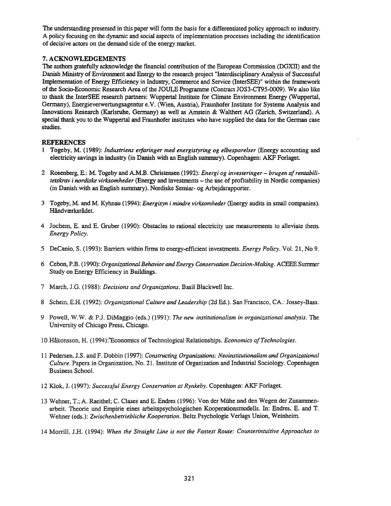The understanding presented in this paper will fonn the basis for a differentiated policy approach to industry. A policy focusing on the dynamic and social aspects of implementation processes including the identification of decisive actors on the demand side of the energy market.

# 7. ACKNOWLEDGEMENTS

The authors gratefully acknowledge the financial contribution of the European Commission (DGXll) and the Danish Ministry of Environment and Energy to the research project "Interdisciplinary Analysis of Successful Implementation of Energy Efficiency in Industry, Commerce and Service (InterSEE)" within the framework ofthe Socio-Economic Research Area of the JOULE Programme (Contract JOS3-CT95-0009). We also like to thank the InterSEE research partners: Wuppertal Institute for Climate Environment Energy (Wuppertal, Germany), Energieverwertungsagentur e.V. (Wien, Austria), Fraunhofer Institute for Systems Analysis and Innovations Research (Karlsruhe, Gennany) as well as Arnstein & Walthert AG (Zurich, Switzerland). A special thank you to the Wuppertal and Fraunhofer institutes who have supplied the data for the German case studies.

## **REFERENCES**

- 1 Togeby, M. (1989): *lndustriens erfaringer med energistyring og elbesparelser* (Energy accounting and electricity savings in industry (in Danish with an English summary). Copenhagen: AKF Forlaget.
- 2 Rosenberg, E.: M. Togeby and A.M.B. Christensen (1992): *Energi og investeringer- brugen afrentabilitetskrav* i *nordiske virksomheder* (Energy and investtnents - the use of profitability in Nordic companies) (in Danish with an English summary). Nordiske Semiar- og Arbejdsrapporter.
- 3 Togeby, M. and M. Kyhnau (1994): *Energisyn* i *mindre virksomheder* (Energy audits in small companies). Håndværksrådet.
- 4 Jochem, E. and E. Gruber (1990): Obstacles to rational electricity use measurements to alleviate them. *Energy Policy.*
- 5 DeCanio, S. (1993): Barriers within firms to energy-efficient investtnents. *Energy Policy.* Vol. 21, No 9.
- 6 Cebon, P.B. (1990): *Organizational BehaviorandEnergy Conservation Decision-Making.* ACEEE Summer Study on Energy Efficiency in Buildings.
- 7 March, J.G. (1988): *Decisions and Organizations.* Basil Blackwell Inc.
- 8 Schein, E.H. (1992): *Organizational Culture and Leadership* (2d Ed.). San Francisco, CA.: Iossey-Bass.
- 9 Powell, W.W. & P.I. DiMaggio (eds.) (1991): *The new institutionalism in organizational analysis.* The University of Chicago Press, Chicago.
- 10 Hakonsson, H. (1994):"Economics of Technological Relationships. *Economics ofTechnologies.*
- 11 Pedersen, *I.S.* and F. Dobbin (1997): *Constructing Organizations: Neoinstitutionalism and Organizational Culture.* Papers in Organization, No. 21. Institute of Organization and Industrial Sociology. Copenhagen Business School.
- 12 Klok, *I.* (1997): *Successful Energy Conservation at Rynkeby.* Copenhagen: AKF Forlaget.
- 13 Wehner, T.; A. Raeithel; C. Clases and E. Endres (1996): Von der Milhe und den Wegen der Zusammenarbeit. Theorie und Empirie eines arbeitspsychologischen Kooperationsmodells. In: Endres, E. and T. Wehner (eds.): *Zwischenhetriebliche Kooperation.* Beltz Psychologie Verlags Union, Weinheim
- 14 Morrill, J.H. (1994): *When the Straight Line is not the Fastest Route: Counterintuitive Approaches to*